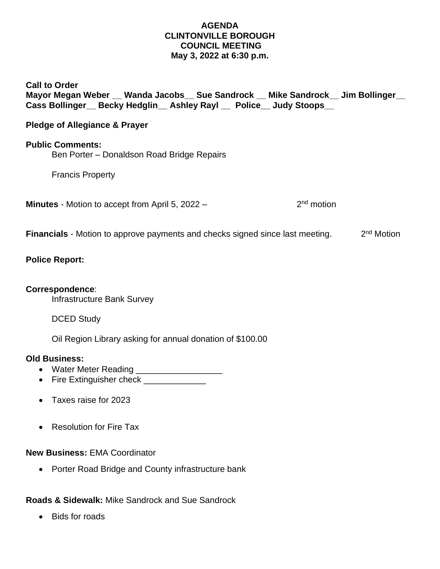#### **AGENDA CLINTONVILLE BOROUGH COUNCIL MEETING May 3, 2022 at 6:30 p.m.**

# **Call to Order Mayor Megan Weber \_\_ Wanda Jacobs\_\_ Sue Sandrock \_\_ Mike Sandrock\_\_ Jim Bollinger\_\_ Cass Bollinger\_\_ Becky Hedglin\_\_ Ashley Rayl \_\_ Police\_\_ Judy Stoops\_\_**

# **Pledge of Allegiance & Prayer**

### **Public Comments:**

Ben Porter – Donaldson Road Bridge Repairs

Francis Property

**Minutes** - Motion to accept from April 5, 2022 – 2

 $2<sup>nd</sup>$  motion

**Financials** - Motion to approve payments and checks signed since last meeting.  $2<sup>nd</sup>$  Motion

## **Police Report:**

# **Correspondence**:

Infrastructure Bank Survey

DCED Study

Oil Region Library asking for annual donation of \$100.00

### **Old Business:**

- Water Meter Reading \_\_\_\_\_\_\_\_\_\_\_\_\_\_\_\_\_\_
- Fire Extinguisher check
- Taxes raise for 2023
- Resolution for Fire Tax

### **New Business:** EMA Coordinator

• Porter Road Bridge and County infrastructure bank

**Roads & Sidewalk:** Mike Sandrock and Sue Sandrock

• Bids for roads